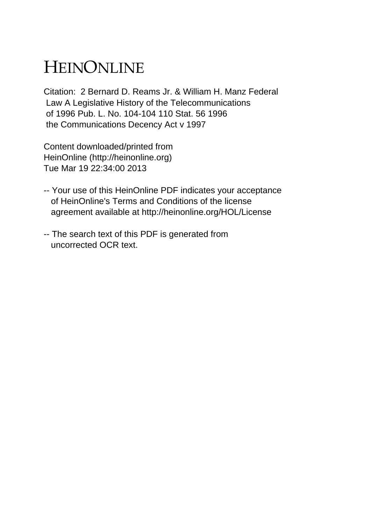## HEINONLINE

Citation: 2 Bernard D. Reams Jr. & William H. Manz Federal Law A Legislative History of the Telecommunications of 1996 Pub. L. No. 104-104 110 Stat. 56 1996 the Communications Decency Act v 1997

Content downloaded/printed from HeinOnline (http://heinonline.org) Tue Mar 19 22:34:00 2013

- -- Your use of this HeinOnline PDF indicates your acceptance of HeinOnline's Terms and Conditions of the license agreement available at http://heinonline.org/HOL/License
- -- The search text of this PDF is generated from uncorrected OCR text.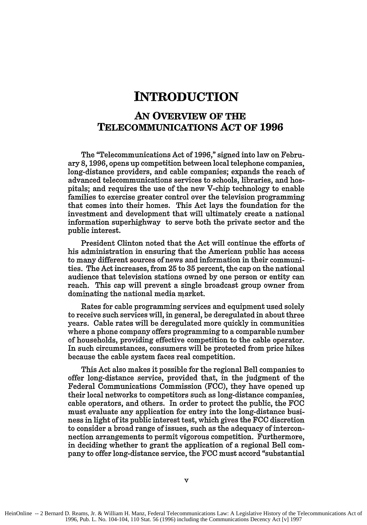## **INTRODUCTION**

## **AN OVERVIEW OF THE TELECOMMUNICATIONS ACT OF 1996**

The "Telecommunications Act of 1996," signed into law on February 8, 1996, opens up competition between local telephone companies, long-distance providers, and cable companies; expands the reach of advanced telecommunications services to schools, libraries, and hospitals; and requires the use of the new V-chip technology to enable families to exercise greater control over the television programming that comes into their homes. This Act lays the foundation for the investment and development that will ultimately create a national information superhighway to serve both the private sector and the public interest.

President Clinton noted that the Act will continue the efforts of his administration in ensuring that the American public has access to many different sources of news and information in their communities. The Act increases, from 25 to **35** percent, the cap on the national audience that television stations owned by one person or entity can reach. This cap will prevent a single broadcast group owner from dominating the national media market.

Rates for cable programming services and equipment used solely to receive such services will, in general, be deregulated in about three years. Cable rates will be deregulated more quickly in communities where a phone company offers programming to a comparable number of households, providing effective competition to the cable operator. In such circumstances, consumers will be protected from price hikes because the cable system faces real competition.

This Act also makes it possible for the regional Bell companies to offer long-distance service, provided that, in the judgment of the Federal Communications Commission (FCC), they have opened up their local networks to competitors such as long-distance companies, cable operators, and others. In order to protect the public, the FCC must evaluate any application for entry into the long-distance business in light of its public interest test, which gives the FCC discretion to consider a broad range of issues, such as the adequacy of interconnection arrangements to permit vigorous competition. Furthermore, in deciding whether to grant the application of a regional Bell company to offer long-distance service, the FCC must accord "substantial